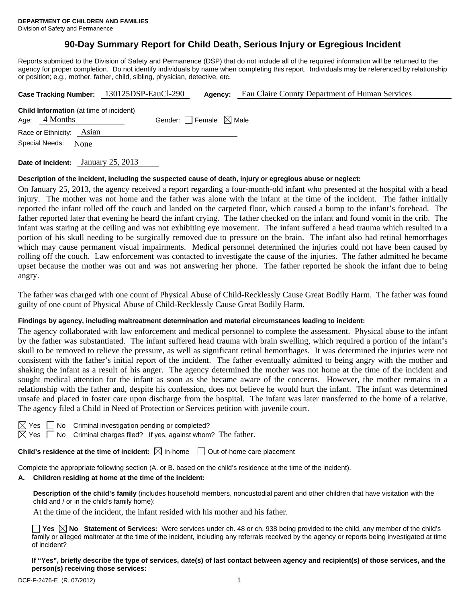# **90-Day Summary Report for Child Death, Serious Injury or Egregious Incident**

Reports submitted to the Division of Safety and Permanence (DSP) that do not include all of the required information will be returned to the agency for proper completion. Do not identify individuals by name when completing this report. Individuals may be referenced by relationship or position; e.g., mother, father, child, sibling, physician, detective, etc.

|                          |                                                                   | Case Tracking Number: 130125DSP-EauCl-290 | Agency:                         | Eau Claire County Department of Human Services |
|--------------------------|-------------------------------------------------------------------|-------------------------------------------|---------------------------------|------------------------------------------------|
|                          | <b>Child Information</b> (at time of incident)<br>Age: $4$ Months |                                           | Gender: Female $\boxtimes$ Male |                                                |
| Race or Ethnicity: Asian |                                                                   |                                           |                                 |                                                |
| Special Needs:           | None                                                              |                                           |                                 |                                                |
|                          |                                                                   |                                           |                                 |                                                |

**Date of Incident:** January 25, 2013

### **Description of the incident, including the suspected cause of death, injury or egregious abuse or neglect:**

On January 25, 2013, the agency received a report regarding a four-month-old infant who presented at the hospital with a head injury. The mother was not home and the father was alone with the infant at the time of the incident. The father initially reported the infant rolled off the couch and landed on the carpeted floor, which caused a bump to the infant's forehead. The father reported later that evening he heard the infant crying. The father checked on the infant and found vomit in the crib. The infant was staring at the ceiling and was not exhibiting eye movement. The infant suffered a head trauma which resulted in a portion of his skull needing to be surgically removed due to pressure on the brain. The infant also had retinal hemorrhages which may cause permanent visual impairments. Medical personnel determined the injuries could not have been caused by rolling off the couch. Law enforcement was contacted to investigate the cause of the injuries. The father admitted he became upset because the mother was out and was not answering her phone. The father reported he shook the infant due to being angry.

The father was charged with one count of Physical Abuse of Child-Recklessly Cause Great Bodily Harm. The father was found guilty of one count of Physical Abuse of Child-Recklessly Cause Great Bodily Harm.

### **Findings by agency, including maltreatment determination and material circumstances leading to incident:**

The agency collaborated with law enforcement and medical personnel to complete the assessment. Physical abuse to the infant by the father was substantiated. The infant suffered head trauma with brain swelling, which required a portion of the infant's skull to be removed to relieve the pressure, as well as significant retinal hemorrhages. It was determined the injuries were not consistent with the father's initial report of the incident. The father eventually admitted to being angry with the mother and shaking the infant as a result of his anger. The agency determined the mother was not home at the time of the incident and sought medical attention for the infant as soon as she became aware of the concerns. However, the mother remains in a relationship with the father and, despite his confession, does not believe he would hurt the infant. The infant was determined unsafe and placed in foster care upon discharge from the hospital. The infant was later transferred to the home of a relative. The agency filed a Child in Need of Protection or Services petition with juvenile court.

| -        |  |
|----------|--|
| . .<br>- |  |

No Criminal investigation pending or completed?

 $\boxtimes$  Yes  $\Box$  No Criminal charges filed? If yes, against whom? The father.

**Child's residence at the time of incident:**  $\boxtimes$  In-home  $\Box$  Out-of-home care placement

Complete the appropriate following section (A. or B. based on the child's residence at the time of the incident).

### **A. Children residing at home at the time of the incident:**

**Description of the child's family** (includes household members, noncustodial parent and other children that have visitation with the child and / or in the child's family home):

At the time of the incident, the infant resided with his mother and his father.

**Yes**  $\boxtimes$  **No** Statement of Services: Were services under ch. 48 or ch. 938 being provided to the child, any member of the child's family or alleged maltreater at the time of the incident, including any referrals received by the agency or reports being investigated at time of incident?

**If "Yes", briefly describe the type of services, date(s) of last contact between agency and recipient(s) of those services, and the person(s) receiving those services:**